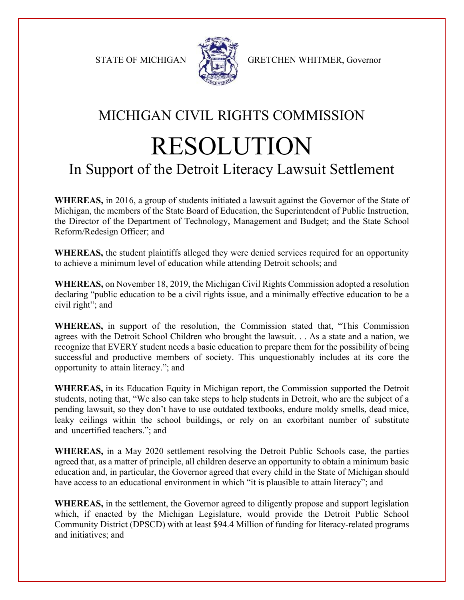

STATE OF MICHIGAN A GRETCHEN WHITMER, Governor

## MICHIGAN CIVIL RIGHTS COMMISSION RESOLUTION

## In Support of the Detroit Literacy Lawsuit Settlement

**WHEREAS,** in 2016, a group of students initiated a lawsuit against the Governor of the State of Michigan, the members of the State Board of Education, the Superintendent of Public Instruction, the Director of the Department of Technology, Management and Budget; and the State School Reform/Redesign Officer; and

**WHEREAS,** the student plaintiffs alleged they were denied services required for an opportunity to achieve a minimum level of education while attending Detroit schools; and

**WHEREAS,** on November 18, 2019, the Michigan Civil Rights Commission adopted a resolution declaring "public education to be a civil rights issue, and a minimally effective education to be a civil right"; and

**WHEREAS,** in support of the resolution, the Commission stated that, "This Commission agrees with the Detroit School Children who brought the lawsuit. . . As a state and a nation, we recognize that EVERY student needs a basic education to prepare them for the possibility of being successful and productive members of society. This unquestionably includes at its core the opportunity to attain literacy."; and

**WHEREAS,** in its Education Equity in Michigan report, the Commission supported the Detroit students, noting that, "We also can take steps to help students in Detroit, who are the subject of a pending lawsuit, so they don't have to use outdated textbooks, endure moldy smells, dead mice, leaky ceilings within the school buildings, or rely on an exorbitant number of substitute and uncertified teachers."; and

**WHEREAS,** in a May 2020 settlement resolving the Detroit Public Schools case, the parties agreed that, as a matter of principle, all children deserve an opportunity to obtain a minimum basic education and, in particular, the Governor agreed that every child in the State of Michigan should have access to an educational environment in which "it is plausible to attain literacy"; and

**WHEREAS,** in the settlement, the Governor agreed to diligently propose and support legislation which, if enacted by the Michigan Legislature, would provide the Detroit Public School Community District (DPSCD) with at least \$94.4 Million of funding for literacy-related programs and initiatives; and